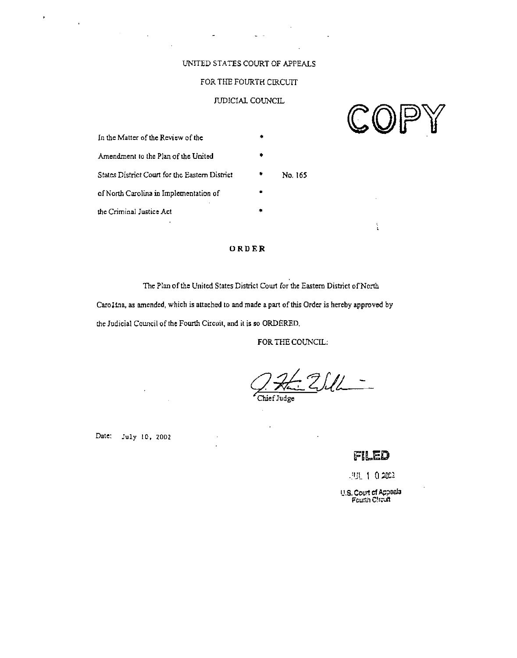# UNITED STATES COURT OF APPEALS

 $\mathbf{L}^{\text{max}}$ 

# FOR THE FOURTH CIRCUIT

# JUDICIAL COUNCIL

| In the Matter of the Review of the             |         |
|------------------------------------------------|---------|
| Amendment to the Plan of the United            |         |
| States District Court for the Eastern District | No. 165 |
| of North Carolina in Implementation of         |         |
| the Criminal Justice Act                       |         |

# ORDER

The Plan of the United States District Court for the Eastern District of North

Caro1tna, as amended, which is attached to and made a part of this Order is hereby approved by the Judicial Council of the Fourth Circuit, and it is so ORDERED.

FOR THE COUNCIL:

Chief Judge

Date: July 10, 2002

 $\hat{\mathbf{r}}$ 

 $\mathcal{L}_{\mathbf{R}^{(1)}}$ 

 $\mathcal{L}^{\text{max}}$ 

# FILED

 $.931 - 1 - 0.2002$ 

U.S. Court of Appeals<br>Fourth Circuit



 $\frac{1}{2}$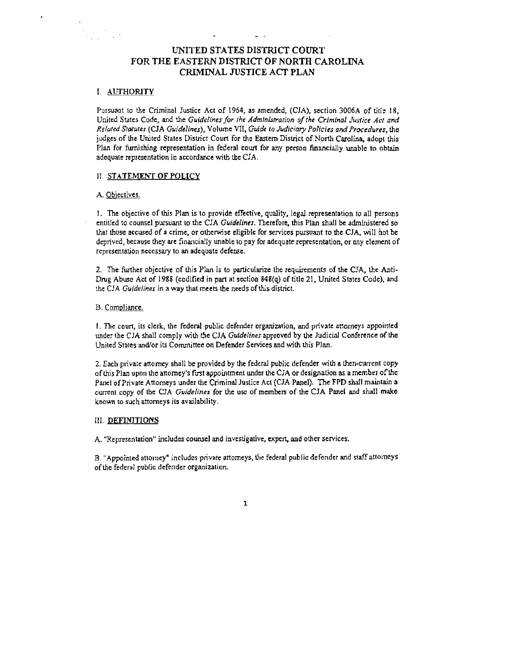# **UNITED STATES DISTRICT COURT FOR THE EASTERN DISTRICT OF NORTH CAROLINA CRIMINAL JUSTICE ACT PLAN**

## I. AUTHORITY

Pursuant to the Criminal Justice Act of 1964, as amended, (CJA), section 3006A of title 18, United States Code, and the Guidelines for the Administration of the Criminal Justice Act and Relared Statures (CJA Guidelines), Volume VII, Guide to Judiciary Policies and Procedures, the judges of the United States District Court for the Eastern District of North Carolina, adopt this Plan for furnishing representation in federal court for any person hancially unable to obtain adequate rcpresentation in accordance with the CIA.

#### **II. STATEMENT OF POLICY**

#### A. Obiectives.

1. The objective of this Plan is to provide effective, quality, legal representation to all persons entitled to counsel pursuant to the CIA Guidelines. Therefore, this Plan shall be administered so that those accured of a crime, or otherwise eligible for services pursuant to ihe CIA, will hot be deprived, because they are financially unable to pay for adcquate representation, or any element of representation necessary lo an adequate defense.

2. The further objective of this Plan is to particularize the requirements of the CJA, the Anti-Drug Abuse Act of 1988 (codified in part at section 848(q) of title 21, United States Code), and the CJA Guidelines in a way that meets the needs of **this** district.

#### B. Compliance.

1. The court, its clerk, the federal public defender organization, and private attomeys appointed under the CIA shall comply with the CIA Guidelines approved by the Judicial Conference of the United States and/or its Committee on Defender Services and with this Plan.

2. Each private attomey shall be provided by the federal public defender with a then-current copy of this Plan upon the attorney's fust appoinunent under the CIA or designation as a member ofthe Panel of Private Attomeys under the Criminal Justice Act (CJA Panel). The FPD shall maintain a current copy of the CIA Guidelines for the use of members of the CIA Panel and shall make known to such attorneys its availability.

#### III. DEFINITIONS

**A.** "Representation" includes counsel and investigative, expen, and orher services.

B. "Appointed attorney" includes private attorneys, the federal public defender and staff attorneys of the federal public defender organizalian.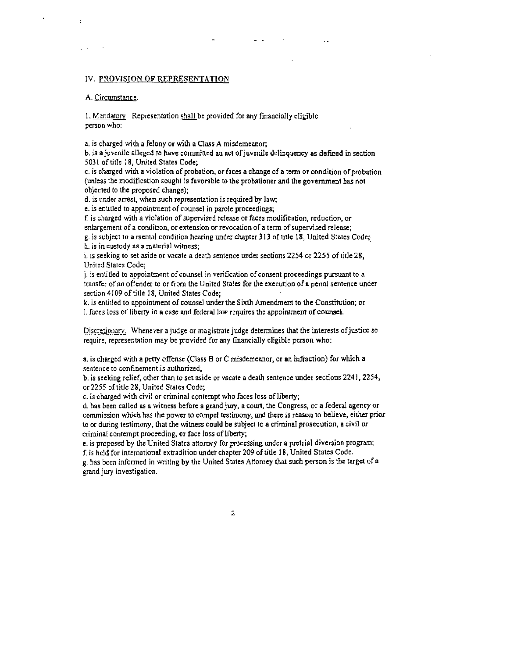## IV. PROVISION OF REPRESENTATION

#### A. Circumstance.

Ń,

1. Mandatory. Representation shall be provided for any financially eligible person who:

a, is charged with a felony or with a Class **A** misdemeanor.

b. is a juvenile alleged to have committed an act of juvenile delinquency as defined in section 5031 of title 18. United States Code;

 $c$ . is charged with a violation of probation, or faces a change of a term or condition of probation (unless the modification sought is favorable to the probationer and the government **bas** not objected lo the proposed change);

d. is under arrest, when such representation is required by law;

e. is entitled to appointment of counsel in parole proceedings;

f. is charged wilh a violation of supervised teleare or faces modification, reduction, or enlargement of a condition, or enension **or** revocation of a term of supervised release;

g. is subject to a mental condition hearing under chapter 313 of title 18, United States Code; h. is in custody as a material witness;

i. is seeking to set aside or vacate a deah scntence under sections **2254** or **2255** of title **28,**  United States Code;

j. is entitled to appointment ofcounsel in verification of consent proceedings pursuant to a transfer of an offender to or from the United States for the execution of a penal sentence under section 4109 of title 18, United States Code;

k. is entilled to appointment of counsel under the Sixth Amendment to the Constitution; or I. faces loss of liberty in a case and federal law requires the appointment of counsel.

Discretionary. Whenever a judge or magistrate judge determines that the interests of justice so require, representation may be provided for any financially eligible person who:

a. is chargcd with apetty offense (Class B or C misdemeanor, or an infraction) for which a sentence to confinement is authorized;

b. is sceking relief, other than to set aside or vacate a death sentence under sections **2241,2254,**  or 2255 of title **28,** United Stales Code;

c. is charged with civil or criminal contempt who faces loss of liberty;

d. has been called as a witness before a grand jury, a court, the Congress, or a federal agency or commission which has the power to compel testimony, and there is reason to believe, either prior to or during testimony, that the witness could be subject to a criminal prosecution, a civil or criminal contempt proceeding, or face loss of libcrty;

e. is proposed by the United Slates anomey forprocessing under a pretrial diversion program; **f,** is held for intrmational extadition under chapter 209 of title 18, United States Code.

g, has been informed in writing by the United States Attorney that such person is the target of a grand jury investigation.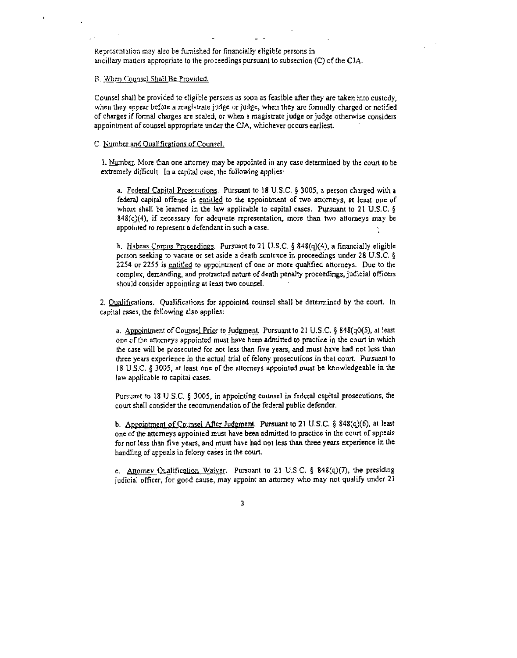Reprcsenlation mey also be hished for financially eligible persons in ancillary matters appropriate to the proceedings pursuant to subsection (C) of the CIA.

#### B. When Counsel Shall Be Provided.

Counsel shall be provided to eligible persons as soon as feasible after they are taken into custody, when they appear before a magistrate judge or judge, when they are formally charged or notified of charges if formal charges are sealed, or when a magistrate judge orjudge otherwise considers appointment of counsel appropriate under the CIA, whichever occurs earliest.

#### C. Number and Qualifications of Counsel.

1. Number. More than one attorney may be appointed in any case determined by the court to be extemely diflicult. In a capital case, the following applies:

a. Federal Capital Prosecutions. Pursuant to 18 U.S.C. § 3005, a person charged with a federal capital offense is entitled to the appointment of two attorneys, at least one of whom shall be lemed in the law applicable to capital cases. Pursuant lo 21 U.S.C. *<sup>8</sup>*  $848(q)(4)$ , if necessary for adequate representation, more than two attorneys may be appoinled lo represent a defendant in such a casc.

**b.** Habeas Corpus Proceedings. Pursuant to 21 U.S.C. § 848(q)(4), a financially eligible pcrson seeking to vacare or set aside a death sentence in proceedings under 28 U.S.C. **<sup>6</sup>** 2254 or 2255 is entitled to appointment of one or more qualified attorneys. Due to the complcx, demanding, and protracted nature of death penalty proceedings, judicial officers should consider appointing at least two counsel.

2. Qualifications. Qualifications for appointed counsel shall be determined by the court. In capital cases, the following also applies:

a. Appointment of Counsel Prior to Judgment. Pursuant to 21 U.S.C. § 848(q0(5), at least one of the attorneys appointed must have been admitted to practice in the court in which the case will be prosecuted for not less than five years, and must have had not less **ihan**  three years experience in the actual **lrial** of felony prosecutions in that court. Pursuant lo 1 B U.S.C. **5 3005,** at least one of tbe attorneys appointed must be knowledgeablc in the law applicable to capital cases. a. Appointment of Counsel Prior to Judgment. Pursuant to 21 U.S.C.  $\S$  848(q0(5), at least<br>one of the attomeys appointed must have been admitted to practice in the court in which<br>the case will be prosecuted for not less t

Pursuant to 18 U.S.C. § 3005, in appointing counsel in federal capital prosecutions, the court shall consider the recommendation of the federal public defender.

one of he artomeys appointed must have becn admitted to practice in the court of appeals for not Icss than five years, and must have had not less than three years experience in the handling of appeals in felony cases in the court.

c. **Attorney Qualification Waiver.** Pursuant to 21 U.S.C. § 848(q)(7), the presiding judicial officer, for good cause, may appoint an attorney who may not qualify under **21** 

3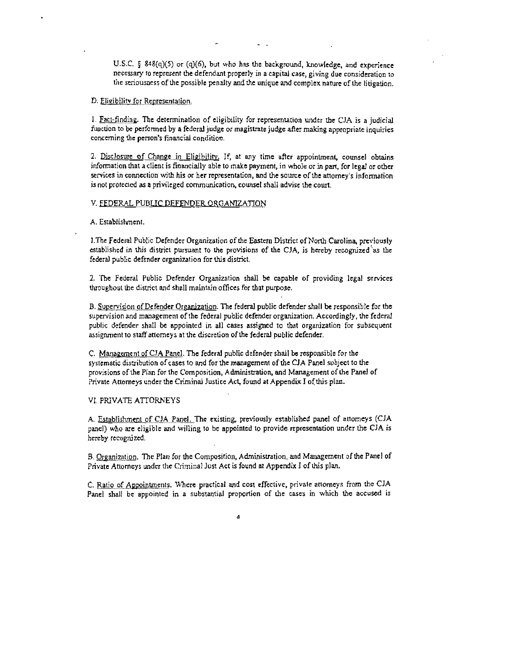U.S.C. § 848(q)(5) or (q)(6), but who has the background, knowledge, and experience necessary to represent the defendant properly in a capiral case, giving due consideration to the seriousness of the possible penalty and the unique and complex name of the litigation,

### D. Eligibility for Representation.

 $I.$  Fact-finding. The determination of eligibility for representation under the CIA is a judicial function to **be** performed by a federal judge or magistrate judge after making appropriate inquiries concerning the person's financial condition.

2. Disclosure of Change in Eligibility. If, at any time after appointment, counsel obtains information that aclient is financially able to make payment, in whole or in part, for legal or other services in connection with his or her representation, and the source of the attorney's information is not protecled **as** a privileged communication, counsel shall advise the court.

### **V. FEDERAL PUBLIC DEFENDER ORGANIZATION**

#### A. Establishment,

1. The Federal Public Defender Organization of the Eastern District of North Carolina, previously established in this distict pursuant to the provisions of the CJA, is hereby recognized **'as** the federal public defender organization for this distict.

2. The Federal Public Defender Organization shall be capable of providing legal services throughout the district and shall maintain ofliccs for that purpose.

B. Supervision of Defender Organization. The federal public defender shall be responsible for the supervisionand managemenl of the federal public defcnder organization. Accordingly, thc federal public defender shall be appointed in all cascs assigned to that organization for subsequent assignment to staff attorneys at the discretion of the federal public defender.

C. Management of CJA Panel. The federal public defender shall be responsible for the systematic distribution of cases to and for the management of the CJA Panel subject to the provisions of the Plan for the Composition, Administration, and Management of the Panel of Private Attorneys under the Criminal Justice Act, found at Appendix I of this plan.

#### **VI.** PRIVATE ATTORNEYS

A. Establishment of CIA Panel.Thc existing, previously established panel of anomeys (CJA panel) who are eligible and willing to bc appointed to provide representation under the CJA is hereby rccognjzed.

B. Organization. The Plan for the Composition, Administration, and Management of the Panel of Private Attorneys under the Criminal Just Act is found at Appendix I of this plan.

C. Ratio of Appointments. Where practical and cost effective, private attorneys from the CJA Panel shall be appointed in a substantial proportion of the cases in which the accused is

 $\Delta$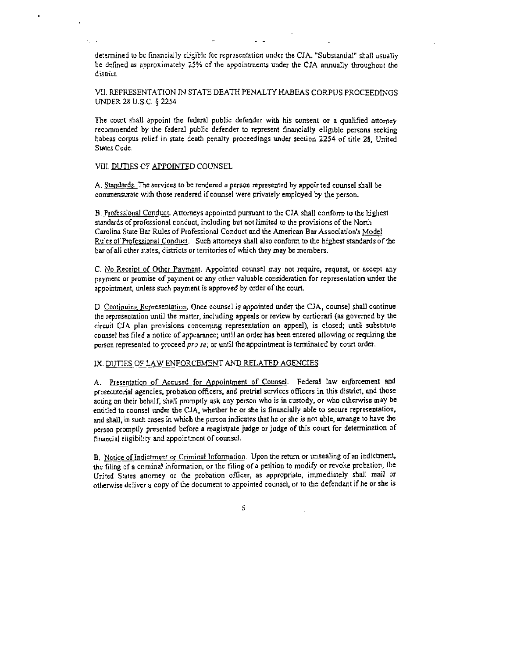determined to be financially eligible for representation under the CJA. "Substantial" shall usually be defined as approximately 25% of the appointments under the CJA annually throughout the dismct.

VII. REPRESENTATION IN STATE DEATH PENALTY HABEAS CORPUS PROCEEDINGS UNDER **28** U.S.C. 4 2254

The court shall appoint the federal public defender with his consent or a qualified attorney recommended by the federal public defender to represent financially eligible persons seeking habeas corpus relief in state death penalty proceedings under section 2254 of title **28,** United Stales Code.

#### VIil. DUTlES OF APPOINTED COUNSEL

A. Standards. Tne services to be rendered a person represented by appainted counsel shall be comrnensuralc with those rendered if counsel were privately employed by the person.

B. Professional Conduct. Attorneys appointed pursuant to the CIA shall conform to the highest standards of professional conduct, including but not limited to the provisions of the Nonh Carolina Stale Bar Rules of Professional Conduct and the American Bar Association's Model Rules of Professional Conduct. Such attorneys shall also conform to the highest standards of the bar of all other states, districts or territories of which they may be members.

C. No Receipt of Other Payment. Appointed counsel may not require, request, or accept any payment or promise of payment or any other valuable consideration for representation under the appointment, unless such payment is approved by order of the court.

D. Continuing Representation. Once counsel is appointed under the CJA, counsel shall continue the representation until the matter, including appeals or review by certionari (as governed by the circuit CJA plan provisions concerning representation on appeal), is closed; until substitute counsel has filed a notice of appearance; until **an** order has been entercd allowing or requiring the person represented to proceed  $pro\,se$ ; or until the appointment is terminated by court order.

# IX. DUTIES OF LAW ENFORCEMENT AND RELATED AGENCIES

A. Presentation of Accused for Appointment of Counsel. Federal law enforcement and prosecutorial agencies, probation officers, and pretrial services officers in this district, and those acting on their behalf, shall promptly ask any person who is in custody, or who otherwise may be entitled to counsel under the CJA, whether hc or she is financially able to secure represenlation. and shall, in such cases in which the person indicates that he or she is not able, arrange to have the person promptly presented before a magistrate judge or judge of this court for determination of financial cligibility and appointment of counsel.

B. Natice of Indictment or Criminal Information. Upon the return or unsealing of an indictment, the filing of a criminal information, or the filing of a petition to modify or revoke probation, the United Slates attorney or the probation officer, as appropriate. immediately shall mail or otherwise deliver a copy of the documcnt to appointed counsel, or to the defendant if he or she is

5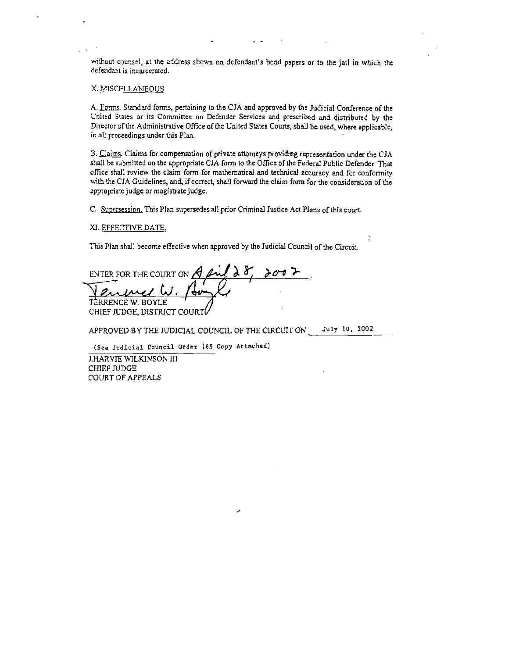without counsel, at the address shown on defendant's bond papers or to the jail in which the defendant is incarcerated.

## X. MISCELLANEOUS

A. Forms. Standard forms, pertaining to the CJA and approved by the Judicial Conference of the United Stales or its Committee on Defender Services **md** prescribed **and** dimibutcd by the Director of the Administrative Office of the United States Courts, shall be used, where applicable, inall proceedings under **this Plan.** 

B. Claims. Claims for compensation of private attorneys providing representation under the CJA shall be submitted on the appropriate CJA form to the Office of the Federal Public Defender. That aflice shall review the claim fonn for rnathernadcal and technical accuracy and for conformity with the CJA Guidelines, and, if concct, shall forward the claim form for the consideration of the appropriate judge or magistate judge.

÷

C. Supersession. This Plan supersedes all prior Criminal Justice Act Plans of this court.

# XI **EFFECTIVE** DATE.

This Plan shall become effective when approved by the Judicial Council of the Circuit.

ENTER FOR THE COURT ON  $\bigstar$ TERRENCE W. BOYLE CHIEF JUDGE, DISTRICT COURT

APPROVED BY THE JUDICIAL COUNCIL OF **THE** CIRCUIT ON **July 10, 2002** 

(See Judicial Council Order 165 Copy Attached)

J.HARVIE WILKINSON I11 **CHIEF JUDGE** COURT OF APPEALS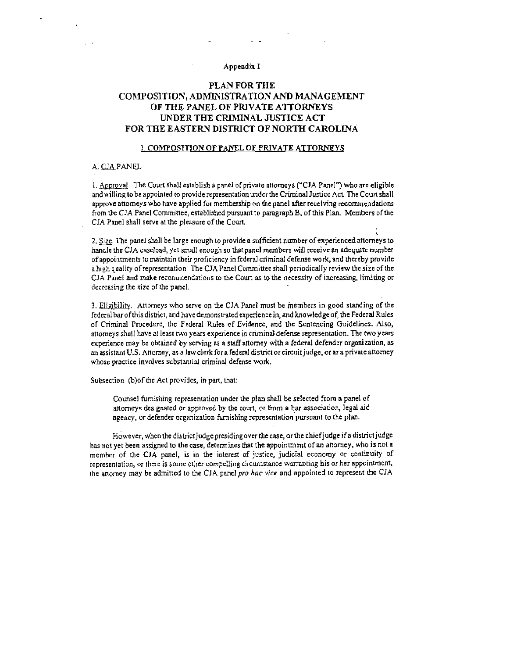#### Appendix I

# PLAN FOR THE COMPOSITION, ADMINISTRATION AND MANAGEMENT OF THE PANEL OF PRIVATE ATTORNEYS UNDER THE CRIMINAL JUSTICE ACT FOR THE EASTERN DISTRICT OF NORTH CAROLINA

#### **L COMPOSITION OF PANEL OF PRIVATE ATTORNEYS**

#### A. CJA PANEL

1. Approval. The Court shall establish a panel of private attorneys ("CJA Panel") who are eligible and willing to be appointed to provide representation under the Criminal Justice Act. The Court shall approve attorneys who have applied for membership on the panel after receiving recommendations from the CJA Panel Committee, established pursuant to paragraph B, of this Plan. Members of the CJA Panel shall serve at the pleasure of the Court.

2. Size. The panel shall be large enough to provide a sufficient number of experienced attorneys to handle the CJA caseload, yet small enough so that panel members will receive an adequate number of appointments to maintain their proficiency in federal criminal defense work, and thereby provide a high quality of representation. The CJA Panel Committee shall periodically review the size of the CJA Panel and make recommendations to the Court as to the necessity of increasing, limiting or decreasing the size of the panel.

3. Eligibility. Attorneys who serve on the CJA Panel must be members in good standing of the federal bar of this district, and have demonstrated experience in, and knowledge of, the Federal Rules of Criminal Procedure, the Federal Rules of Evidence, and the Sentencing Guidelines. Also, attorneys shall have at least two years experience in criminal defense representation. The two years experience may be obtained by serving as a staff attorney with a federal defender organization, as an assistant U.S. Attorney, as a law clerk for a federal district or circuit judge, or as a private attorney whose practice involves substantial criminal defense work.

Subsection (b)of the Act provides, in part, that:

Counsel furnishing representation under the plan shall be selected from a panel of attorneys designated or approved by the court, or from a bar association, legal aid agency, or defender organization furnishing representation pursuant to the plan.

However, when the district judge presiding over the case, or the chief judge if a district judge has not yet been assigned to the case, determines that the appointment of an attorney, who is not a member of the CJA panel, is in the interest of justice, judicial economy or continuity of representation, or there is some other compelling circumstance warranting his or her appointment, the attorney may be admitted to the CJA panel pro hac vice and appointed to represent the CJA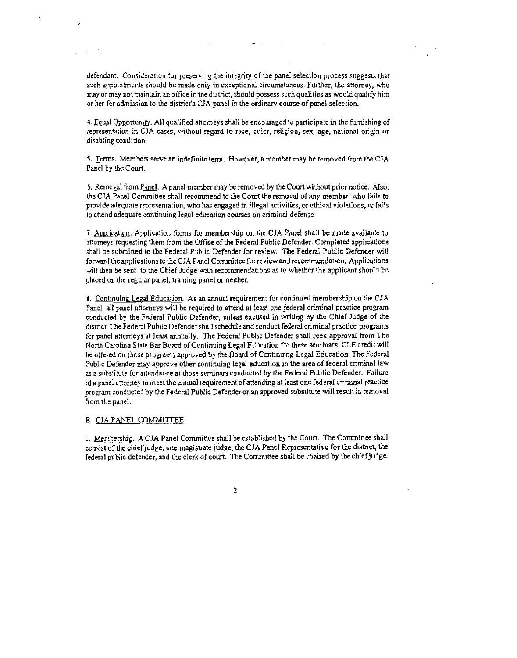defendant. Consideration for preserving the integrity of the panel selection process suggests that such appointments should be made only in exceptional circumstances. Further, the attorney, who may or may not maintain an office in the district, should possess such qualities as would qualify him or her for admission to the district's CJA panel in the ordinary course of panel selection.

4. Equal Opportunity, All qualified attomeys shall be encouraged to participate in the furnishing of representation in CIA cases, without regard to race, color, religion, sex, age, national origin or disabling condition.

5. Terms. Members serve an indefinite term. However, a member may be removed from the CJA Panel by the Court.

6. Removal from Panel. A panel member may be removed by the Court without prior notice. Also, the CJA Panel Committee shall recommend to the Court the removal of any member who fails to provide adequate representation, who has engaged in illegal activities, or ethical violations, or fails to attend adequate continuing legal education courses on criminal defense.

7. Application. Application forms for membership on the CJA Panel shall be made available to attorneys requesting them from the Office of the Federal Public Defender, Completed applications shall be submitted to the Federal Public Defender for review. The Federal Public Defender will forward the applications to the CJA Panel Committee for review and recommendation. Applications will then be sent to the Chief Judge with recommendations as to whether the applicant should be placed on the regular panel, training panel or neither.

8. Continuing Legal Education. As an annual requirement for continued membership on the CJA Panel, all panel attorneys will be required to attend at least one federal criminal practice program conducted by the Federal Public Defender, unless excused in writing by the Chief Judge of the district. The Federal Public Defender shall schedule and conduct federal criminal practice programs for panel attorneys at least annually. The Federal Public Defender shall seek approval from The North Carolina State Bar Board of Continuing Legal Education for these seminars. CLE credit will be offered on those programs approved by the Board of Continuing Legal Education. The Federal Public Defender may approve other continuing legal education in the area of federal criminal law as a substitute for attendance at those seminars conducted by the Federal Public Defender. Failure of a panel attorney to meet the annual requirement of attending at least one federal criminal practice program conducted by the Federal Public Defender or an approved substitute will result in removal from the panel.

#### **B. CJA PANEL COMMITTEE**

1. Membership. A CJA Panel Committee shall be established by the Court. The Committee shall consist of the chief judge, one magistrate judge, the CJA Panel Representative for the district, the federal public defender, and the clerk of court. The Committee shall be chaired by the chief judge.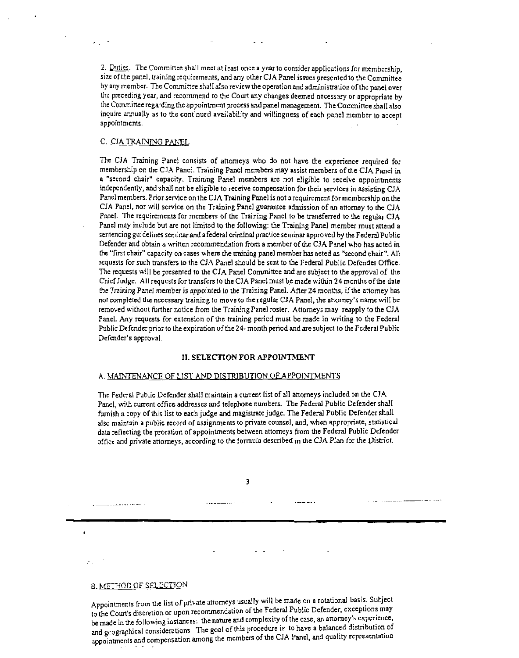2. Duties. The Committee shall meet at least once a year to consider applications for membership, size of the panel, training requirements, and any other CJA Panel issues presented to the Committee by any member. The Committee shall also review the operation and administration of the panel over Ihc preceding year, and recommend to the Court any changes deemed necessary or appropriate by rhe Commineeregarding the appointment process and panel managemcm. The Comminee shall also inquire annually as to the cominued availability and willingness of each panel member to accept appointments.

## C. CJA TRAINING PANEL

 $\mathbf{L}_{\mathrm{max}}$ 

The CJA Training Panel consists of attorneys who do not have the experience required for membership on the CJ.4 Panel. Training Panel members may assist members of the CJA Panel in a "second chair" capacity. Training Panel members are not eligible to receive appoinments independently, and shall not be eligible to receive compensation for their services in assisting CJA Panel members. Prior service on the CJA Training Panel is not arequirement for mcmbership on the CJA Panel, nor will service on the Training Panel guarantee admission of an attorney to the CJA Panel. The requirements for members of the Training Panel to be transferred to the regular CJA Panel may include but are not limited to the following: the Training Panel member must attend a sentencing guidelines seminar and a federal criminal practice seminar approved by the Federal Public Defender and obtain **a** wrinen recommendation from a member of he CJA Panel who has acted in the "first chair" capacity on cases where the mining panel membcr has aeted as "second chair". All requests for such transfers to the CJA Pancl should be sent to the Federal Public Defender Office. The requests will be presenled to the CJA Panel Comminee and are subject to the approval of the Chief Judge. All requests for transfers to he CJA Panel must be made within **24** months ofhe date the Training Panel member is appointed to the Training Panel. After 24 months, if the attomey has not completed the necessary raining to move to the regular CJA Panel, the attorney's name will be removed without further notice from the Training Panel rosler. Attorneys may reapply to the CJA Panel. Any requests for extension of the training period must be made in writing to the Federal Public Defender prior to the expiration of the 24- month period and are subject to the Federal Public Defender's approval.

#### **11. SELECTION FOR APPOINTMENT**

#### A. MAINTENANCE OF LIST AND DISTRIBUTION OF APPOINTMENTS

The Federal Public Defender shall maintain a cwent list of all anorneys included on the CIA Panel, with current office addresses and telephone numbers. The Federal Public Defender shall furnish a copy of this list to each judge and magistrate judge. The Federal Public Defender shall also maintain a public record of assignments to private counsel, and, when appropriate, statistical data reflecting the proration of appointments between attomeys from the Federal Public Defender office and private attorneys, according to the formula described in the CJA Plan for the District.

 $\overline{\mathbf{3}}$ 

an and dead

B. **METHOD** OF SELECTION

and the company of the company

Appointments from the list of private attorneys usually will be made on a rotational basis. Subject to the Court's discretion or upon recommendation of the Federal Public Defender, exceptions may be made in the following instances: the name and complexity of the case, an anorney's experience, and geographical considerations. The goal of this procedure is to have a balanced distribution of appointments and compensation among the members of the CJA Panel, and quality representation